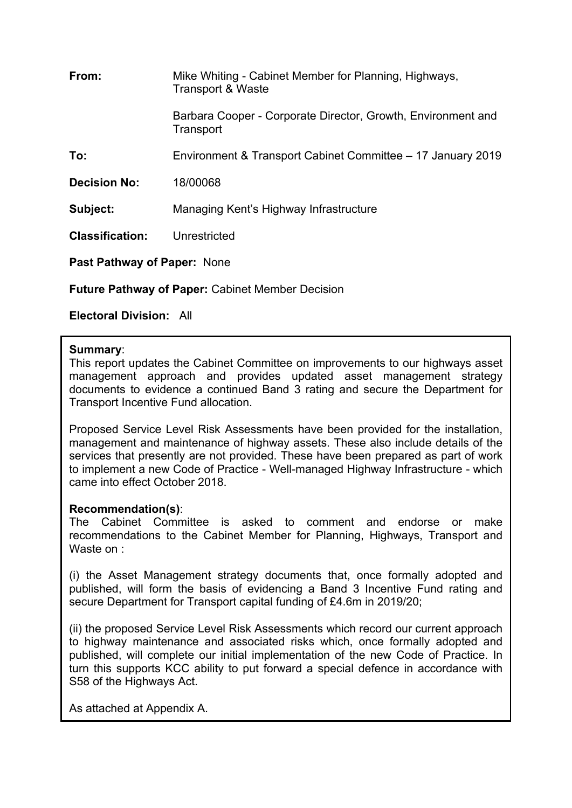| From:                              | Mike Whiting - Cabinet Member for Planning, Highways,<br><b>Transport &amp; Waste</b> |  |
|------------------------------------|---------------------------------------------------------------------------------------|--|
|                                    | Barbara Cooper - Corporate Director, Growth, Environment and<br>Transport             |  |
| To:                                | Environment & Transport Cabinet Committee – 17 January 2019                           |  |
| <b>Decision No:</b>                | 18/00068                                                                              |  |
| Subject:                           | Managing Kent's Highway Infrastructure                                                |  |
| <b>Classification:</b>             | Unrestricted                                                                          |  |
| <b>Past Pathway of Paper: None</b> |                                                                                       |  |

**Future Pathway of Paper:** Cabinet Member Decision

**Electoral Division:** All

## **Summary**:

This report updates the Cabinet Committee on improvements to our highways asset management approach and provides updated asset management strategy documents to evidence a continued Band 3 rating and secure the Department for Transport Incentive Fund allocation.

Proposed Service Level Risk Assessments have been provided for the installation, management and maintenance of highway assets. These also include details of the services that presently are not provided. These have been prepared as part of work to implement a new Code of Practice - Well-managed Highway Infrastructure - which came into effect October 2018.

# **Recommendation(s)**:

The Cabinet Committee is asked to comment and endorse or make recommendations to the Cabinet Member for Planning, Highways, Transport and Waste on :

(i) the Asset Management strategy documents that, once formally adopted and published, will form the basis of evidencing a Band 3 Incentive Fund rating and secure Department for Transport capital funding of £4.6m in 2019/20;

(ii) the proposed Service Level Risk Assessments which record our current approach to highway maintenance and associated risks which, once formally adopted and published, will complete our initial implementation of the new Code of Practice. In turn this supports KCC ability to put forward a special defence in accordance with S58 of the Highways Act.

As attached at Appendix A.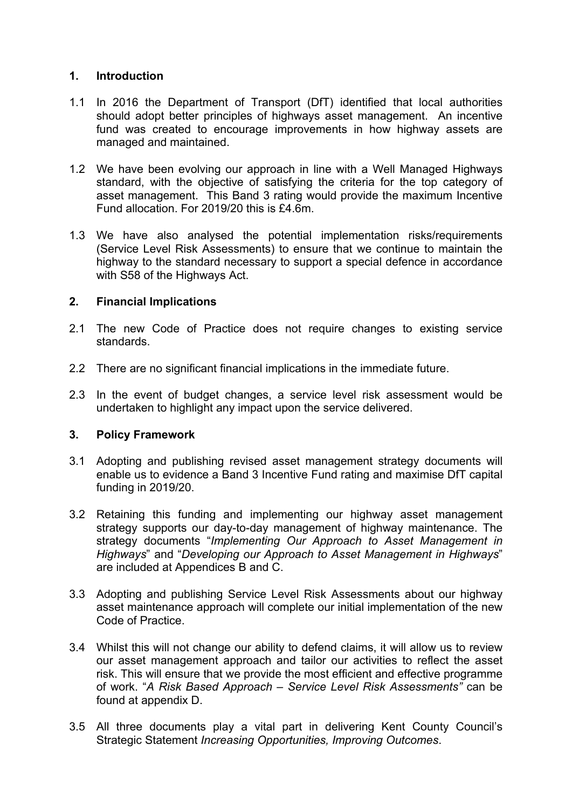## **1. Introduction**

- 1.1 In 2016 the Department of Transport (DfT) identified that local authorities should adopt better principles of highways asset management. An incentive fund was created to encourage improvements in how highway assets are managed and maintained.
- 1.2 We have been evolving our approach in line with a Well Managed Highways standard, with the objective of satisfying the criteria for the top category of asset management. This Band 3 rating would provide the maximum Incentive Fund allocation. For 2019/20 this is £4.6m.
- 1.3 We have also analysed the potential implementation risks/requirements (Service Level Risk Assessments) to ensure that we continue to maintain the highway to the standard necessary to support a special defence in accordance with S58 of the Highways Act.

## **2. Financial Implications**

- 2.1 The new Code of Practice does not require changes to existing service standards.
- 2.2 There are no significant financial implications in the immediate future.
- 2.3 In the event of budget changes, a service level risk assessment would be undertaken to highlight any impact upon the service delivered.

### **3. Policy Framework**

- 3.1 Adopting and publishing revised asset management strategy documents will enable us to evidence a Band 3 Incentive Fund rating and maximise DfT capital funding in 2019/20.
- 3.2 Retaining this funding and implementing our highway asset management strategy supports our day-to-day management of highway maintenance. The strategy documents "*Implementing Our Approach to Asset Management in Highways*" and "*Developing our Approach to Asset Management in Highways*" are included at Appendices B and C.
- 3.3 Adopting and publishing Service Level Risk Assessments about our highway asset maintenance approach will complete our initial implementation of the new Code of Practice.
- 3.4 Whilst this will not change our ability to defend claims, it will allow us to review our asset management approach and tailor our activities to reflect the asset risk. This will ensure that we provide the most efficient and effective programme of work. "*A Risk Based Approach – Service Level Risk Assessments"* can be found at appendix D.
- 3.5 All three documents play a vital part in delivering Kent County Council's Strategic Statement *Increasing Opportunities, Improving Outcomes*.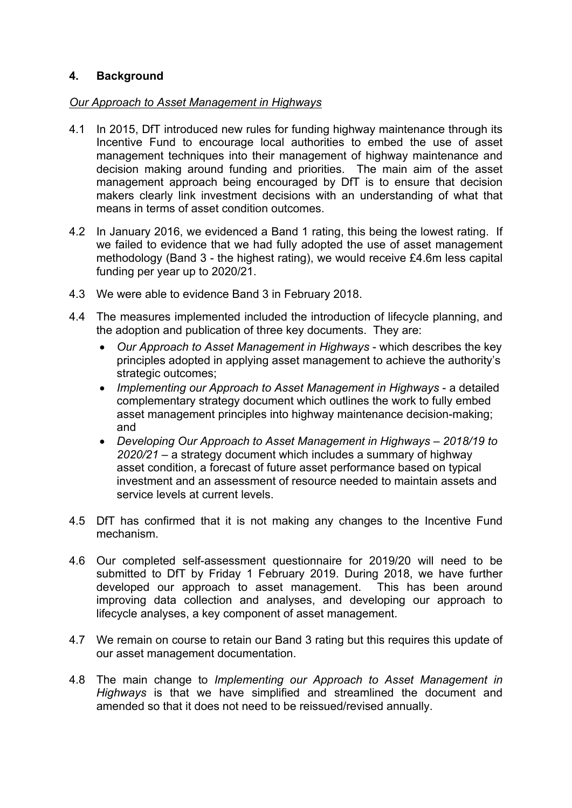# **4. Background**

## *Our Approach to Asset Management in Highways*

- 4.1 In 2015, DfT introduced new rules for funding highway maintenance through its Incentive Fund to encourage local authorities to embed the use of asset management techniques into their management of highway maintenance and decision making around funding and priorities. The main aim of the asset management approach being encouraged by DfT is to ensure that decision makers clearly link investment decisions with an understanding of what that means in terms of asset condition outcomes.
- 4.2 In January 2016, we evidenced a Band 1 rating, this being the lowest rating. If we failed to evidence that we had fully adopted the use of asset management methodology (Band 3 - the highest rating), we would receive £4.6m less capital funding per year up to 2020/21.
- 4.3 We were able to evidence Band 3 in February 2018.
- 4.4 The measures implemented included the introduction of lifecycle planning, and the adoption and publication of three key documents. They are:
	- *Our Approach to Asset Management in Highways* which describes the key principles adopted in applying asset management to achieve the authority's strategic outcomes;
	- *Implementing our Approach to Asset Management in Highways* a detailed complementary strategy document which outlines the work to fully embed asset management principles into highway maintenance decision-making; and
	- *Developing Our Approach to Asset Management in Highways – 2018/19 to 2020/21* – a strategy document which includes a summary of highway asset condition, a forecast of future asset performance based on typical investment and an assessment of resource needed to maintain assets and service levels at current levels.
- 4.5 DfT has confirmed that it is not making any changes to the Incentive Fund mechanism.
- 4.6 Our completed self-assessment questionnaire for 2019/20 will need to be submitted to DfT by Friday 1 February 2019. During 2018, we have further developed our approach to asset management. This has been around improving data collection and analyses, and developing our approach to lifecycle analyses, a key component of asset management.
- 4.7 We remain on course to retain our Band 3 rating but this requires this update of our asset management documentation.
- 4.8 The main change to *Implementing our Approach to Asset Management in Highways* is that we have simplified and streamlined the document and amended so that it does not need to be reissued/revised annually.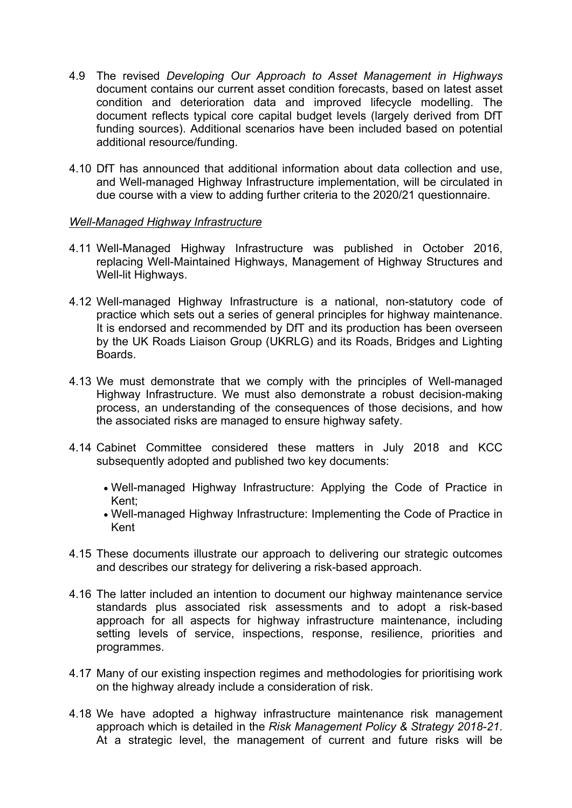- 4.9 The revised *Developing Our Approach to Asset Management in Highways* document contains our current asset condition forecasts, based on latest asset condition and deterioration data and improved lifecycle modelling. The document reflects typical core capital budget levels (largely derived from DfT funding sources). Additional scenarios have been included based on potential additional resource/funding.
- 4.10 DfT has announced that additional information about data collection and use, and Well-managed Highway Infrastructure implementation, will be circulated in due course with a view to adding further criteria to the 2020/21 questionnaire.

#### *Well-Managed Highway Infrastructure*

- 4.11 Well-Managed Highway Infrastructure was published in October 2016, replacing Well-Maintained Highways, Management of Highway Structures and Well-lit Highways.
- 4.12 Well-managed Highway Infrastructure is a national, non-statutory code of practice which sets out a series of general principles for highway maintenance. It is endorsed and recommended by DfT and its production has been overseen by the UK Roads Liaison Group (UKRLG) and its Roads, Bridges and Lighting Boards.
- 4.13 We must demonstrate that we comply with the principles of Well-managed Highway Infrastructure. We must also demonstrate a robust decision-making process, an understanding of the consequences of those decisions, and how the associated risks are managed to ensure highway safety.
- 4.14 Cabinet Committee considered these matters in July 2018 and KCC subsequently adopted and published two key documents:
	- Well-managed Highway Infrastructure: Applying the Code of Practice in Kent;
	- Well-managed Highway Infrastructure: Implementing the Code of Practice in Kent
- 4.15 These documents illustrate our approach to delivering our strategic outcomes and describes our strategy for delivering a risk-based approach.
- 4.16 The latter included an intention to document our highway maintenance service standards plus associated risk assessments and to adopt a risk-based approach for all aspects for highway infrastructure maintenance, including setting levels of service, inspections, response, resilience, priorities and programmes.
- 4.17 Many of our existing inspection regimes and methodologies for prioritising work on the highway already include a consideration of risk.
- 4.18 We have adopted a highway infrastructure maintenance risk management approach which is detailed in the *Risk Management Policy & Strategy 2018-21*. At a strategic level, the management of current and future risks will be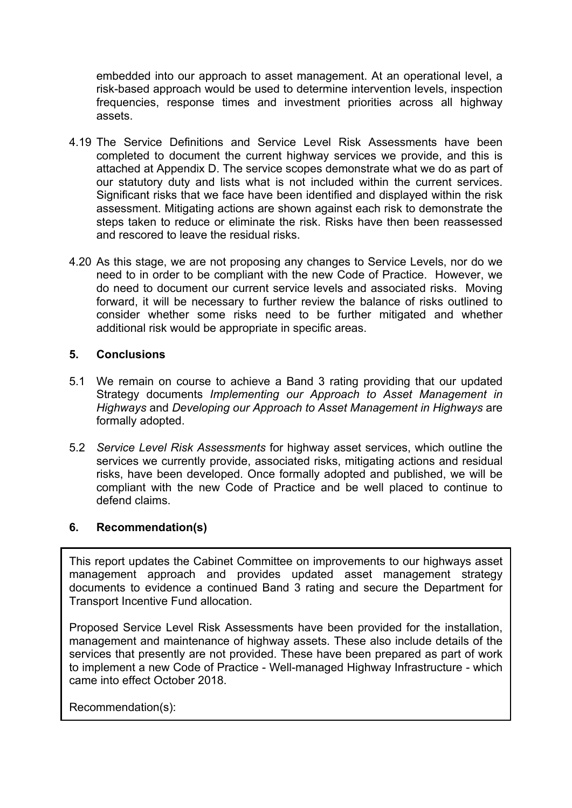embedded into our approach to asset management. At an operational level, a risk-based approach would be used to determine intervention levels, inspection frequencies, response times and investment priorities across all highway assets.

- 4.19 The Service Definitions and Service Level Risk Assessments have been completed to document the current highway services we provide, and this is attached at Appendix D. The service scopes demonstrate what we do as part of our statutory duty and lists what is not included within the current services. Significant risks that we face have been identified and displayed within the risk assessment. Mitigating actions are shown against each risk to demonstrate the steps taken to reduce or eliminate the risk. Risks have then been reassessed and rescored to leave the residual risks.
- 4.20 As this stage, we are not proposing any changes to Service Levels, nor do we need to in order to be compliant with the new Code of Practice. However, we do need to document our current service levels and associated risks. Moving forward, it will be necessary to further review the balance of risks outlined to consider whether some risks need to be further mitigated and whether additional risk would be appropriate in specific areas.

## **5. Conclusions**

- 5.1 We remain on course to achieve a Band 3 rating providing that our updated Strategy documents *Implementing our Approach to Asset Management in Highways* and *Developing our Approach to Asset Management in Highways* are formally adopted.
- 5.2 *Service Level Risk Assessments* for highway asset services, which outline the services we currently provide, associated risks, mitigating actions and residual risks, have been developed. Once formally adopted and published, we will be compliant with the new Code of Practice and be well placed to continue to defend claims.

### **6. Recommendation(s)**

This report updates the Cabinet Committee on improvements to our highways asset management approach and provides updated asset management strategy documents to evidence a continued Band 3 rating and secure the Department for Transport Incentive Fund allocation.

Proposed Service Level Risk Assessments have been provided for the installation, management and maintenance of highway assets. These also include details of the services that presently are not provided. These have been prepared as part of work to implement a new Code of Practice - Well-managed Highway Infrastructure - which came into effect October 2018.

Recommendation(s):